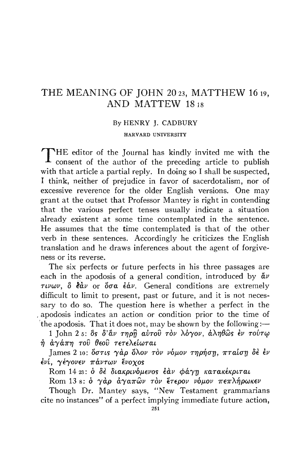## THE MEANING OF JOHN 20 23, MATTHEW 16 19, AND MATTEW 1818

## By HENRY J. CADBURY

HARVARD UNIVERSITY

THE editor of the Journal has kindly invited me with the consent of the author of the preceding article to publish with that article a partial reply. In doing so I shall be suspected, I think, neither of prejudice in favor of sacerdotalism, nor of excessive reverence for the older English versions. One may grant at the outset that Professor Mantey is right in contending that the various perfect tenses usually indicate a situation already existent at some time contemplated in the sentence. He assumes that the time contemplated is that of the other verb in these sentences. Accordingly he criticizes the English translation and he draws inferences about the agent of forgiveness or its reverse.

The six perfects or future perfects in his three passages are each in the apodosis of a general condition, introduced by  $\ddot{a}v$  $\tau \nu \omega \nu$ ,  $\delta$   $\epsilon \dot{\alpha} \nu$  or  $\delta \sigma \alpha$   $\epsilon \dot{\alpha} \nu$ . General conditions are extremely difficult to limit to present, past or future, and it is not necessary to do so. The question here is whether a perfect in the apodosis indicates an action or condition prior to the time of the apodosis. That it does not, may be shown by the following:—

1 John 2 5: δς δ'άν τηρη αύτου τον λόγον, άληθως έν τούτω ή άγάπη του θεού τετελείωται

James 2 10: όστις γάρ όλον τον νόμον τηρήση, πταίση δέ έν ένι, γέγονεν πάντων ένοχος

Rom 14 23: δ δέ διακρινόμενος έαν φάγη κατακέκριται

Rom 13 s: ο γάρ άγαπών τον έτερον νόμον πεπλήρωκεν

Though Dr. Mantey says, "New Testament grammarians cite no instances" of a perfect implying immediate future action,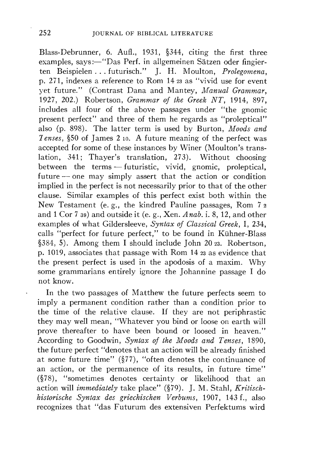Blass-Debrunner, 6. Aufl., 1931, §344, citing the first three examples, says:-"Das Perf. in allgemeinen Sätzen oder fingierten Beispielen ... futurisch." J. H. Moulton, *Prolegomena,*  p. 271, indexes a reference to Rom 14 23 as "vivid use for event yet future." (Contrast Dana and Mantey, *Manual Grammar,*  1927, 202.) Robertson, *Grammar of the Greek NT,* 1914, 897, includes all four of the above passages under "the gnomic present perfect" and three of them he regards as "proleptical" also (p. 898). The latter term is used by Burton, *Moods and 1 enses,* §50 of James 2 10. A future meaning of the perfect was accepted for some of these instances by Winer (Moulton's translation, 341; Thayer's translation, 273). Without choosing between the terms — futuristic, vivid, gnomic, proleptical, future — one may simply assert that the action or condition implied in the perfect is not necessarily prior to that of the other clause. Similar examples of this perfect exist both within the New Testament (e. g., the kindred Pauline passages, Rom 7 2 and 1 Cor 7 39) and outside it (e. g., Xen. *A nab.* i. 8, 12, and other examples of what Gildersleeve, *Syntax of Classical Greek,* I, 234, calls "perfect for future perfect," to be found in Kuhner-Blass §384, 5). Among them I should include John 20 23. Robertson, p. 1019, associates that passage with Rom 14 23 as evidence that the present perfect is used in the apodosis of a maxim. Why some grammarians entirely ignore the Johannine passage I do not know.

In the two passages of Matthew the future perfects seem to imply a permanent condition rather than a condition prior to the time of the relative clause. If they are not periphrastic they may well mean, "Whatever you bind or loose on earth will prove thereafter to have been bound or loosed in heaven." According to Goodwin, *Syntax of the Moods and Tenses,* 1890, the future perfect "denotes that an action will be already finished at some future time" (§77), "often denotes the continuance of an action, or the permanence of its results, in future time" (§78), "sometimes denotes certainty or likelihood that an action will *immediately* take place" (§79). *].* M. Stahl, *Kritischhistorische Syntax des griechischen Verbums,* 1907, 143 f., also recognizes that "das Futurum des extensiven Perfektums wird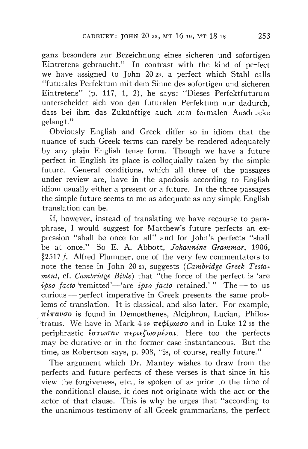ganz besonders zur Bezeichnung eines sicheren und sofortigen Eintretens gebraucht." In contrast with the kind of perfect we have assigned to John 20 23, a perfect which Stahl calls "futurales Perfektum mit dem Sinne des sofortigen und sicheren Eintretens" (p. 117, 1, 2), he says: "Dieses Perfektfuturum unterscheidet sich von den futuralen Perfektum nur dadurch, dass bei ihm das Zukünftige auch zum formalen Ausdrucke gelangt."

Obviously English and Greek differ so in idiom that the nuance of such Greek terms can rarely be rendered adequately by any plain English tense form. Though we have a future perfect in English its place is colloquially taken by the simple future. General conditions, which all three of the passages under review are, have in the apodosis according to English idiom usually either a present or a future. In the three passages the simple future seems to me as adequate as any simple English translation can be.

tratus. We have in Mark  $4 \frac{39}{\pi} \frac{\pi \epsilon \phi \mu \omega \sigma \rho}{\omega \sigma \rho}$  and in Luke 12 35 the If, however, instead of translating we have recourse to paraphrase, I would suggest for Matthew's future perfects an expression "shall be once for all" and for John's perfects "shall be at once." So E. A. Abbott, *Johannine Grammar,* 1906, §2517 f. Alfred Plummer, one of the very few commentators to note the tense in John 20 23, suggests *(Cambridge Greek Testament,* cf. *Cambridge Bible)* that "the force of the perfect is 'are *ipso facto* **remitted**'—'are *ipso facto* retained.' " The — to us curious – perfect imperative in Greek presents the same problems of translation. It is classical, and also later. For example,  $\pi \epsilon \pi \omega \sigma$  is found in Demosthenes, Alciphron, Lucian, Philosperiphrastic  $\ell \sigma \tau \omega \sigma \alpha \nu$   $\pi \epsilon \rho \iota \epsilon \sigma \mu \epsilon \nu \alpha \iota$ . Here too the perfects may be durative or in the former case instantaneous. But the time, as Robertson says, p. 908, "is, of course, really future."

The argument which Dr. Mantey wishes to draw from the perfects and future perfects of these verses is that since in his view the forgiveness, etc., is spoken of as prior to the time of the conditional clause, it does not originate with the act or the actor of that clause. This is why he urges that "according to the unanimous testimony of all Greek grammarians, the perfect